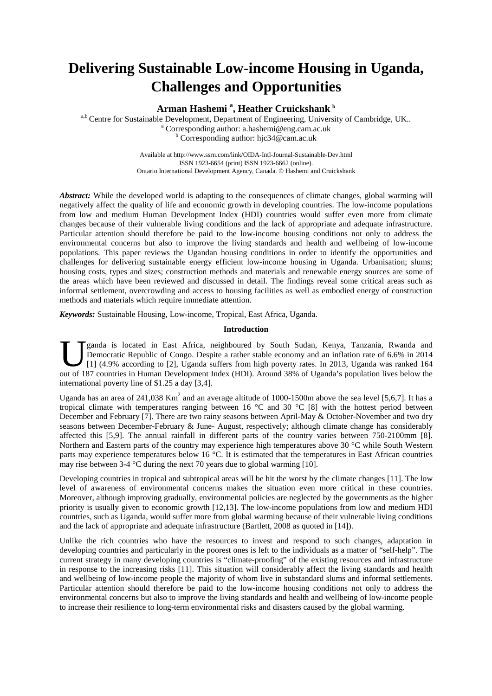# **Delivering Sustainable Low-income Housing in Uganda, Challenges and Opportunities**

**Arman Hashemi <sup>a</sup> , Heather Cruickshank <sup>b</sup>**

a,b Centre for Sustainable Development, Department of Engineering, University of Cambridge, UK.. a Corresponding author: a.hashemi@eng.cam.ac.uk <sup>b</sup> Corresponding author: hjc34@cam.ac.uk

> Available at http://www.ssrn.com/link/OIDA-Intl-Journal-Sustainable-Dev.html ISSN 1923-6654 (print) ISSN 1923-6662 (online). Ontario International Development Agency, Canada. © Hashemi and Cruickshank

*Abstract:* While the developed world is adapting to the consequences of climate changes, global warming will negatively affect the quality of life and economic growth in developing countries. The low-income populations from low and medium Human Development Index (HDI) countries would suffer even more from climate changes because of their vulnerable living conditions and the lack of appropriate and adequate infrastructure. Particular attention should therefore be paid to the low-income housing conditions not only to address the environmental concerns but also to improve the living standards and health and wellbeing of low-income populations. This paper reviews the Ugandan housing conditions in order to identify the opportunities and challenges for delivering sustainable energy efficient low-income housing in Uganda. Urbanisation; slums; housing costs, types and sizes; construction methods and materials and renewable energy sources are some of the areas which have been reviewed and discussed in detail. The findings reveal some critical areas such as informal settlement, overcrowding and access to housing facilities as well as embodied energy of construction methods and materials which require immediate attention.

*Keywords:* Sustainable Housing, Low-income, Tropical, East Africa, Uganda.

# **Introduction**

ganda is located in East Africa, neighboured by South Sudan, Kenya, Tanzania, Rwanda and Democratic Republic of Congo. Despite a rather stable economy and an inflation rate of 6.6% in 2014 [1] (4.9% according to [2], Uganda suffers from high poverty rates. In 2013, Uganda was ranked 164 **J** ganda is located in East Africa, neighboured by South Sudan, Kenya, Tanzania, Rwanda and Democratic Republic of Congo. Despite a rather stable economy and an inflation rate of 6.6% in 2014 [1] (4.9% according to [2], U international poverty line of \$1.25 a day [3,4].

Uganda has an area of 241,038 Km<sup>2</sup> and an average altitude of 1000-1500m above the sea level [5,6,7]. It has a tropical climate with temperatures ranging between 16 °C and 30 °C [8] with the hottest period between December and February [7]. There are two rainy seasons between April-May & October-November and two dry seasons between December-February & June- August, respectively; although climate change has considerably affected this [5,9]. The annual rainfall in different parts of the country varies between 750-2100mm [8]. Northern and Eastern parts of the country may experience high temperatures above 30 °C while South Western parts may experience temperatures below 16 °C. It is estimated that the temperatures in East African countries may rise between 3-4 °C during the next 70 years due to global warming [10].

Developing countries in tropical and subtropical areas will be hit the worst by the climate changes [11]. The low level of awareness of environmental concerns makes the situation even more critical in these countries. Moreover, although improving gradually, environmental policies are neglected by the governments as the higher priority is usually given to economic growth [12,13]. The low-income populations from low and medium HDI countries, such as Uganda, would suffer more from global warming because of their vulnerable living conditions and the lack of appropriate and adequate infrastructure (Bartlett, 2008 as quoted in [14]).

Unlike the rich countries who have the resources to invest and respond to such changes, adaptation in developing countries and particularly in the poorest ones is left to the individuals as a matter of "self-help". The current strategy in many developing countries is "climate-proofing" of the existing resources and infrastructure in response to the increasing risks [11]. This situation will considerably affect the living standards and health and wellbeing of low-income people the majority of whom live in substandard slums and informal settlements. Particular attention should therefore be paid to the low-income housing conditions not only to address the environmental concerns but also to improve the living standards and health and wellbeing of low-income people to increase their resilience to long-term environmental risks and disasters caused by the global warming.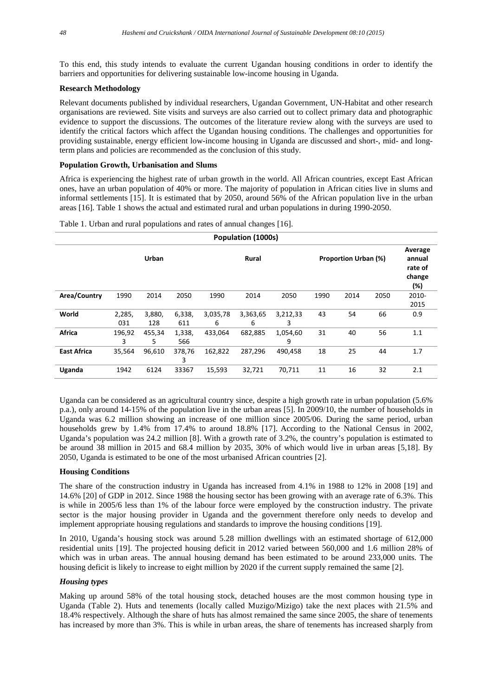To this end, this study intends to evaluate the current Ugandan housing conditions in order to identify the barriers and opportunities for delivering sustainable low-income housing in Uganda.

## **Research Methodology**

Relevant documents published by individual researchers, Ugandan Government, UN-Habitat and other research organisations are reviewed. Site visits and surveys are also carried out to collect primary data and photographic evidence to support the discussions. The outcomes of the literature review along with the surveys are used to identify the critical factors which affect the Ugandan housing conditions. The challenges and opportunities for providing sustainable, energy efficient low-income housing in Uganda are discussed and short-, mid- and longterm plans and policies are recommended as the conclusion of this study.

#### **Population Growth, Urbanisation and Slums**

Africa is experiencing the highest rate of urban growth in the world. All African countries, except East African ones, have an urban population of 40% or more. The majority of population in African cities live in slums and informal settlements [15]. It is estimated that by 2050, around 56% of the African population live in the urban areas [16]. Table 1 shows the actual and estimated rural and urban populations in during 1990-2050.

| Population (1000s) |        |        |             |                                             |          |          |      |                                               |      |               |
|--------------------|--------|--------|-------------|---------------------------------------------|----------|----------|------|-----------------------------------------------|------|---------------|
|                    |        | Urban  |             | <b>Proportion Urban (%)</b><br><b>Rural</b> |          |          |      | Average<br>annual<br>rate of<br>change<br>(%) |      |               |
| Area/Country       | 1990   | 2014   | 2050        | 1990                                        | 2014     | 2050     | 1990 | 2014                                          | 2050 | 2010-<br>2015 |
| World              | 2,285, | 3,880, | 6,338,      | 3,035,78                                    | 3,363,65 | 3,212,33 | 43   | 54                                            | 66   | 0.9           |
|                    | 031    | 128    | 611         | 6                                           | 6        | 3        |      |                                               |      |               |
| <b>Africa</b>      | 196,92 | 455,34 | 1,338,      | 433,064                                     | 682,885  | 1,054,60 | 31   | 40                                            | 56   | 1.1           |
|                    | 3      | 5.     | 566         |                                             |          | 9        |      |                                               |      |               |
| <b>East Africa</b> | 35,564 | 96,610 | 378,76<br>3 | 162,822                                     | 287,296  | 490,458  | 18   | 25                                            | 44   | 1.7           |
| Uganda             | 1942   | 6124   | 33367       | 15,593                                      | 32,721   | 70,711   | 11   | 16                                            | 32   | 2.1           |

Table 1. Urban and rural populations and rates of annual changes [16].

Uganda can be considered as an agricultural country since, despite a high growth rate in urban population (5.6% p.a.), only around 14-15% of the population live in the urban areas [5]. In 2009/10, the number of households in Uganda was 6.2 million showing an increase of one million since 2005/06. During the same period, urban households grew by 1.4% from 17.4% to around 18.8% [17]. According to the National Census in 2002, Uganda's population was 24.2 million [8]. With a growth rate of 3.2%, the country's population is estimated to be around 38 million in 2015 and 68.4 million by 2035, 30% of which would live in urban areas [5,18]. By 2050, Uganda is estimated to be one of the most urbanised African countries [2].

#### **Housing Conditions**

The share of the construction industry in Uganda has increased from 4.1% in 1988 to 12% in 2008 [19] and 14.6% [20] of GDP in 2012. Since 1988 the housing sector has been growing with an average rate of 6.3%. This is while in 2005/6 less than 1% of the labour force were employed by the construction industry. The private sector is the major housing provider in Uganda and the government therefore only needs to develop and implement appropriate housing regulations and standards to improve the housing conditions [19].

In 2010, Uganda's housing stock was around 5.28 million dwellings with an estimated shortage of 612,000 residential units [19]. The projected housing deficit in 2012 varied between 560,000 and 1.6 million 28% of which was in urban areas. The annual housing demand has been estimated to be around 233,000 units. The housing deficit is likely to increase to eight million by 2020 if the current supply remained the same [2].

## *Housing types*

Making up around 58% of the total housing stock, detached houses are the most common housing type in Uganda (Table 2). Huts and tenements (locally called Muzigo/Mizigo) take the next places with 21.5% and 18.4% respectively. Although the share of huts has almost remained the same since 2005, the share of tenements has increased by more than 3%. This is while in urban areas, the share of tenements has increased sharply from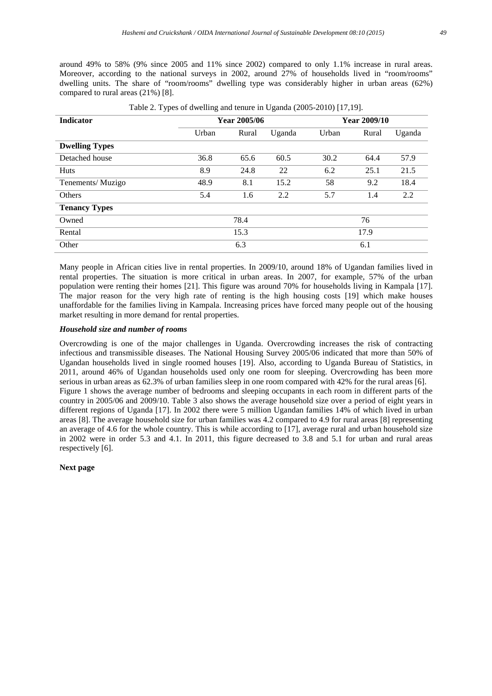around 49% to 58% (9% since 2005 and 11% since 2002) compared to only 1.1% increase in rural areas. Moreover, according to the national surveys in 2002, around 27% of households lived in "room/rooms" dwelling units. The share of "room/rooms" dwelling type was considerably higher in urban areas (62%) compared to rural areas (21%) [8].

| <b>Indicator</b>      | Year 2005/06 |       |        | Year 2009/10 |       |        |
|-----------------------|--------------|-------|--------|--------------|-------|--------|
|                       | Urban        | Rural | Uganda | Urban        | Rural | Uganda |
| <b>Dwelling Types</b> |              |       |        |              |       |        |
| Detached house        | 36.8         | 65.6  | 60.5   | 30.2         | 64.4  | 57.9   |
| <b>Huts</b>           | 8.9          | 24.8  | 22     | 6.2          | 25.1  | 21.5   |
| Tenements/Muzigo      | 48.9         | 8.1   | 15.2   | 58           | 9.2   | 18.4   |
| <b>Others</b>         | 5.4          | 1.6   | 2.2    | 5.7          | 1.4   | 2.2    |
| <b>Tenancy Types</b>  |              |       |        |              |       |        |
| Owned                 |              | 78.4  |        |              | 76    |        |
| Rental                |              | 15.3  |        |              | 17.9  |        |
| Other                 |              | 6.3   |        |              | 6.1   |        |

|  | Table 2. Types of dwelling and tenure in Uganda (2005-2010) [17,19]. |  |  |
|--|----------------------------------------------------------------------|--|--|
|  |                                                                      |  |  |

Many people in African cities live in rental properties. In 2009/10, around 18% of Ugandan families lived in rental properties. The situation is more critical in urban areas. In 2007, for example, 57% of the urban population were renting their homes [21]. This figure was around 70% for households living in Kampala [17]. The major reason for the very high rate of renting is the high housing costs [19] which make houses unaffordable for the families living in Kampala. Increasing prices have forced many people out of the housing market resulting in more demand for rental properties.

# *Household size and number of rooms*

Overcrowding is one of the major challenges in Uganda. Overcrowding increases the risk of contracting infectious and transmissible diseases. The National Housing Survey 2005/06 indicated that more than 50% of Ugandan households lived in single roomed houses [19]. Also, according to Uganda Bureau of Statistics, in 2011, around 46% of Ugandan households used only one room for sleeping. Overcrowding has been more serious in urban areas as 62.3% of urban families sleep in one room compared with 42% for the rural areas [6]. Figure 1 shows the average number of bedrooms and sleeping occupants in each room in different parts of the country in 2005/06 and 2009/10. Table 3 also shows the average household size over a period of eight years in different regions of Uganda [17]. In 2002 there were 5 million Ugandan families 14% of which lived in urban areas [8]. The average household size for urban families was 4.2 compared to 4.9 for rural areas [8] representing an average of 4.6 for the whole country. This is while according to [17], average rural and urban household size in 2002 were in order 5.3 and 4.1. In 2011, this figure decreased to 3.8 and 5.1 for urban and rural areas respectively [6].

**Next page**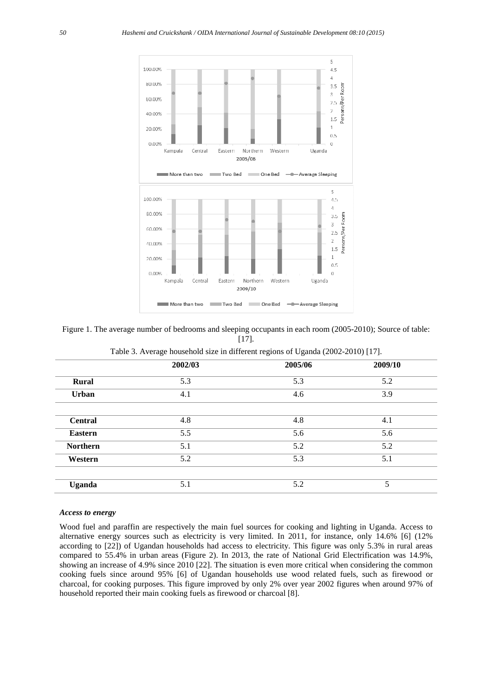

Figure 1. The average number of bedrooms and sleeping occupants in each room (2005-2010); Source of table: [17].

|                 | 2002/03 | 2005/06 | 2009/10 |  |  |  |
|-----------------|---------|---------|---------|--|--|--|
| Rural           | 5.3     | 5.3     | 5.2     |  |  |  |
| <b>Urban</b>    | 4.1     | 4.6     | 3.9     |  |  |  |
| <b>Central</b>  | 4.8     | 4.8     | 4.1     |  |  |  |
| <b>Eastern</b>  | 5.5     | 5.6     | 5.6     |  |  |  |
| <b>Northern</b> | 5.1     | 5.2     | 5.2     |  |  |  |
| Western         | 5.2     | 5.3     | 5.1     |  |  |  |
|                 |         |         |         |  |  |  |
| <b>Uganda</b>   | 5.1     | 5.2     | 5       |  |  |  |

Table 3. Average household size in different regions of Uganda (2002-2010) [17].

## *Access to energy*

Wood fuel and paraffin are respectively the main fuel sources for cooking and lighting in Uganda. Access to alternative energy sources such as electricity is very limited. In 2011, for instance, only 14.6% [6] (12% according to [22]) of Ugandan households had access to electricity. This figure was only 5.3% in rural areas compared to 55.4% in urban areas (Figure 2). In 2013, the rate of National Grid Electrification was 14.9%, showing an increase of 4.9% since 2010 [22]. The situation is even more critical when considering the common cooking fuels since around 95% [6] of Ugandan households use wood related fuels, such as firewood or charcoal, for cooking purposes. This figure improved by only 2% over year 2002 figures when around 97% of household reported their main cooking fuels as firewood or charcoal [8].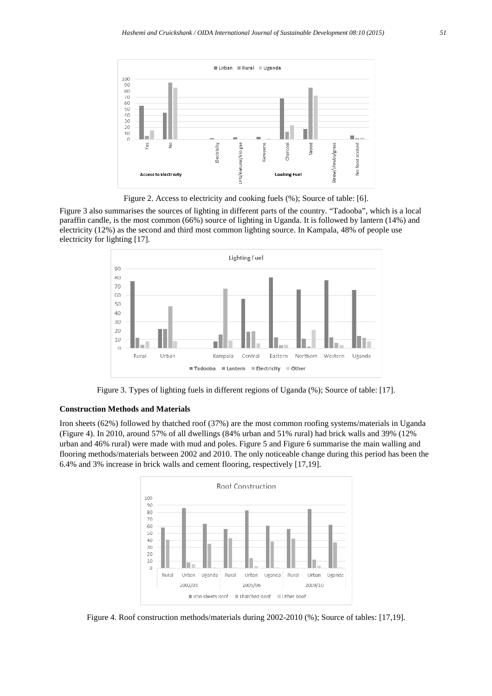

Figure 2. Access to electricity and cooking fuels (%); Source of table: [6].

Figure 3 also summarises the sources of lighting in different parts of the country. "Tadooba", which is a local paraffin candle, is the most common (66%) source of lighting in Uganda. It is followed by lantern (14%) and electricity (12%) as the second and third most common lighting source. In Kampala, 48% of people use electricity for lighting [17].



Figure 3. Types of lighting fuels in different regions of Uganda (%); Source of table: [17].

## **Construction Methods and Materials**

Iron sheets (62%) followed by thatched roof (37%) are the most common roofing systems/materials in Uganda (Figure 4). In 2010, around 57% of all dwellings (84% urban and 51% rural) had brick walls and 39% (12% urban and 46% rural) were made with mud and poles. Figure 5 and Figure 6 summarise the main walling and flooring methods/materials between 2002 and 2010. The only noticeable change during this period has been the 6.4% and 3% increase in brick walls and cement flooring, respectively [17,19].



Figure 4. Roof construction methods/materials during 2002-2010 (%); Source of tables: [17,19].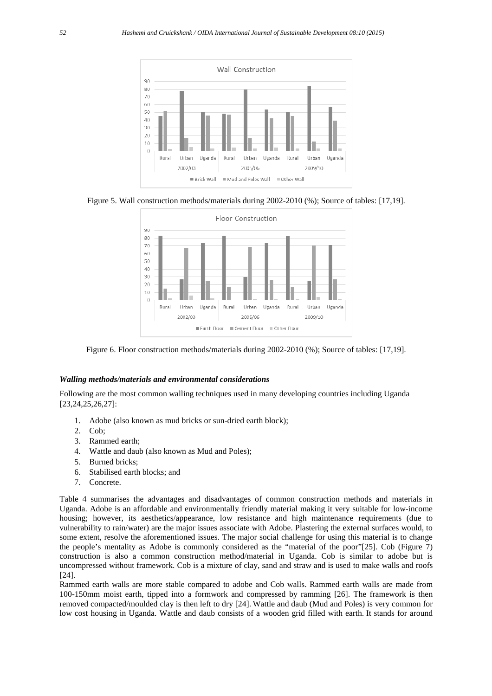

Figure 5. Wall construction methods/materials during 2002-2010 (%); Source of tables: [17,19].



Figure 6. Floor construction methods/materials during 2002-2010 (%); Source of tables: [17,19].

#### *Walling methods/materials and environmental considerations*

Following are the most common walling techniques used in many developing countries including Uganda [23,24,25,26,27]:

- 1. Adobe (also known as mud bricks or sun-dried earth block);
- 2. Cob;
- 3. Rammed earth;
- 4. Wattle and daub (also known as Mud and Poles);
- 5. Burned bricks;
- 6. Stabilised earth blocks; and
- 7. Concrete.

Table 4 summarises the advantages and disadvantages of common construction methods and materials in Uganda. Adobe is an affordable and environmentally friendly material making it very suitable for low-income housing; however, its aesthetics/appearance, low resistance and high maintenance requirements (due to vulnerability to rain/water) are the major issues associate with Adobe. Plastering the external surfaces would, to some extent, resolve the aforementioned issues. The major social challenge for using this material is to change the people's mentality as Adobe is commonly considered as the "material of the poor"[25]. Cob (Figure 7) construction is also a common construction method/material in Uganda. Cob is similar to adobe but is uncompressed without framework. Cob is a mixture of clay, sand and straw and is used to make walls and roofs [24].

Rammed earth walls are more stable compared to adobe and Cob walls. Rammed earth walls are made from 100-150mm moist earth, tipped into a formwork and compressed by ramming [26]. The framework is then removed compacted/moulded clay is then left to dry [24]. Wattle and daub (Mud and Poles) is very common for low cost housing in Uganda. Wattle and daub consists of a wooden grid filled with earth. It stands for around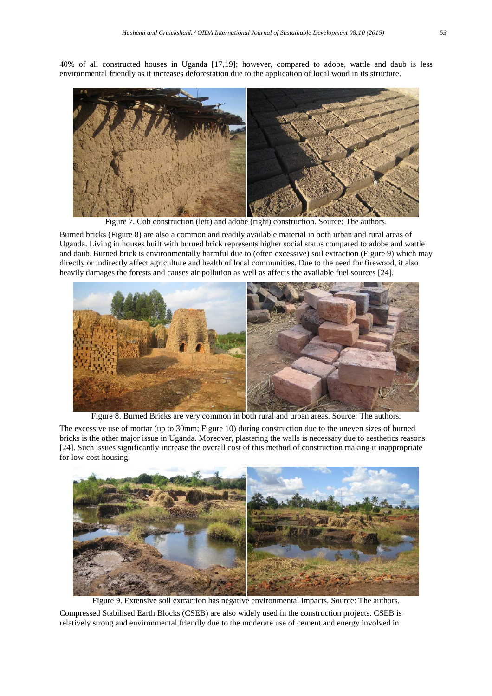40% of all constructed houses in Uganda [17,19]; however, compared to adobe, wattle and daub is less environmental friendly as it increases deforestation due to the application of local wood in its structure.



Figure 7. Cob construction (left) and adobe (right) construction. Source: The authors

Burned bricks (Figure 8) are also a common and readily available material in both urban and rural areas of Uganda. Living in houses built with burned brick represents higher social status compared to adobe and wattle and daub. Burned brick is environmentally harmful due to (often excessive) soil extraction (Figure 9) which may directly or indirectly affect agriculture and health of local communities. Due to the need for firewood, it also heavily damages the forests and causes air pollution as well as affects the available fuel sources [24].



Figure 8. Burned Bricks are very common in both rural and urban areas. Source: The authors.

The excessive use of mortar (up to 30mm; Figure 10) during construction due to the uneven sizes of burned bricks is the other major issue in Uganda. Moreover, plastering the walls is necessary due to aesthetics reasons [24]. Such issues significantly increase the overall cost of this method of construction making it inappropriate for low-cost housing.



Figure 9. Extensive soil extraction has negative environmental impacts. Source: The authors. Compressed Stabilised Earth Blocks (CSEB) are also widely used in the construction projects. CSEB is relatively strong and environmental friendly due to the moderate use of cement and energy involved in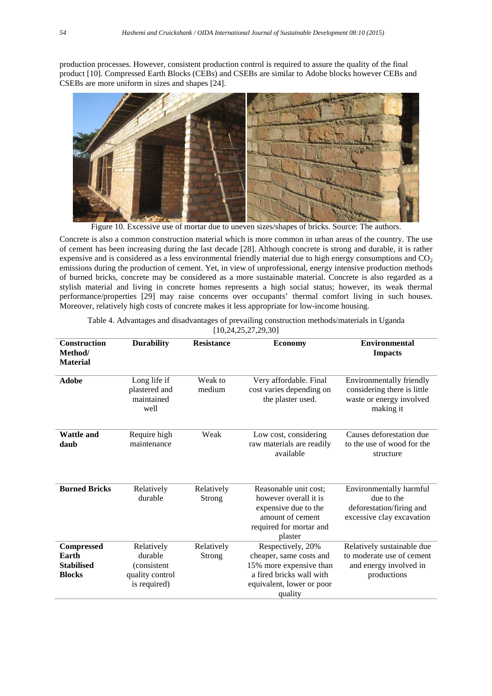production processes. However, consistent production control is required to assure the quality of the final product [10]. Compressed Earth Blocks (CEBs) and CSEBs are similar to Adobe blocks however CEBs and CSEBs are more uniform in sizes and shapes [24].



Figure 10. Excessive use of mortar due to uneven sizes/shapes of bricks. Source: The authors.

Concrete is also a common construction material which is more common in urban areas of the country. The use of cement has been increasing during the last decade [28]. Although concrete is strong and durable, it is rather expensive and is considered as a less environmental friendly material due to high energy consumptions and  $CO<sub>2</sub>$ emissions during the production of cement. Yet, in view of unprofessional, energy intensive production methods of burned bricks, concrete may be considered as a more sustainable material. Concrete is also regarded as a stylish material and living in concrete homes represents a high social status; however, its weak thermal performance/properties [29] may raise concerns over occupants' thermal comfort living in such houses. Moreover, relatively high costs of concrete makes it less appropriate for low-income housing.

| <b>Construction</b><br>Method/<br><b>Material</b>                | <b>Durability</b>                                                       | <b>Resistance</b>           | <b>Economy</b>                                                                                                                              | <b>Environmental</b><br><b>Impacts</b>                                                           |
|------------------------------------------------------------------|-------------------------------------------------------------------------|-----------------------------|---------------------------------------------------------------------------------------------------------------------------------------------|--------------------------------------------------------------------------------------------------|
| <b>Adobe</b>                                                     | Long life if<br>plastered and<br>maintained<br>well                     | Weak to<br>medium           | Very affordable. Final<br>cost varies depending on<br>the plaster used.                                                                     | Environmentally friendly<br>considering there is little<br>waste or energy involved<br>making it |
| <b>Wattle and</b><br>daub                                        | Require high<br>maintenance                                             | Weak                        | Low cost, considering<br>raw materials are readily<br>available                                                                             | Causes deforestation due<br>to the use of wood for the<br>structure                              |
| <b>Burned Bricks</b>                                             | Relatively<br>durable                                                   | Relatively<br><b>Strong</b> | Reasonable unit cost;<br>however overall it is<br>expensive due to the<br>amount of cement<br>required for mortar and<br>plaster            | Environmentally harmful<br>due to the<br>deforestation/firing and<br>excessive clay excavation   |
| <b>Compressed</b><br>Earth<br><b>Stabilised</b><br><b>Blocks</b> | Relatively<br>durable<br>(consistent<br>quality control<br>is required) | Relatively<br>Strong        | Respectively, 20%<br>cheaper, same costs and<br>15% more expensive than<br>a fired bricks wall with<br>equivalent, lower or poor<br>quality | Relatively sustainable due<br>to moderate use of cement<br>and energy involved in<br>productions |

| Table 4. Advantages and disadvantages of prevailing construction methods/materials in Uganda |
|----------------------------------------------------------------------------------------------|
| [10, 24, 25, 27, 29, 30]                                                                     |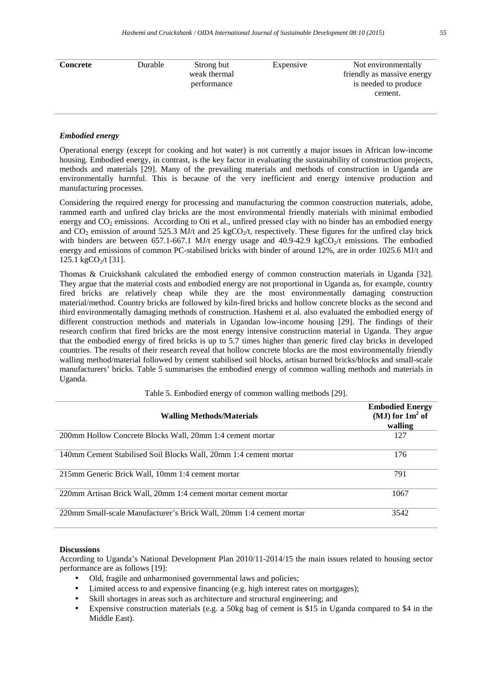| Durable | Strong but   | Expensive | Not environmentally        |
|---------|--------------|-----------|----------------------------|
|         | weak thermal |           | friendly as massive energy |
|         | performance  |           | is needed to produce       |
|         |              |           | cement.                    |
|         |              |           |                            |
|         |              |           |                            |

## *Embodied energy*

Operational energy (except for cooking and hot water) is not currently a major issues in African low-income housing. Embodied energy, in contrast, is the key factor in evaluating the sustainability of construction projects, methods and materials [29]. Many of the prevailing materials and methods of construction in Uganda are environmentally harmful. This is because of the very inefficient and energy intensive production and manufacturing processes.

Considering the required energy for processing and manufacturing the common construction materials, adobe, rammed earth and unfired clay bricks are the most environmental friendly materials with minimal embodied energy and CO<sub>2</sub> emissions. According to Oti et al., unfired pressed clay with no binder has an embodied energy and CO<sub>2</sub> emission of around 525.3 MJ/t and 25 kgCO<sub>2</sub>/t, respectively. These figures for the unfired clay brick with binders are between 657.1-667.1 MJ/t energy usage and 40.9-42.9 kgCO<sub>2</sub>/t emissions. The embodied energy and emissions of common PC-stabilised bricks with binder of around 12%, are in order 1025.6 MJ/t and  $125.1 \text{ kgCO} / t$  [31].

Thomas & Cruickshank calculated the embodied energy of common construction materials in Uganda [32]. They argue that the material costs and embodied energy are not proportional in Uganda as, for example, country fired bricks are relatively cheap while they are the most environmentally damaging construction material/method. Country bricks are followed by kiln-fired bricks and hollow concrete blocks as the second and third environmentally damaging methods of construction. Hashemi et al. also evaluated the embodied energy of different construction methods and materials in Ugandan low-income housing [29]. The findings of their research confirm that fired bricks are the most energy intensive construction material in Uganda. They argue that the embodied energy of fired bricks is up to 5.7 times higher than generic fired clay bricks in developed countries. The results of their research reveal that hollow concrete blocks are the most environmentally friendly walling method/material followed by cement stabilised soil blocks, artisan burned bricks/blocks and small-scale manufacturers' bricks. Table 5 summarises the embodied energy of common walling methods and materials in Uganda.

| <b>Walling Methods/Materials</b>                                    | <b>Embodied Energy</b><br>(MJ) for $1m^2$ of<br>walling |
|---------------------------------------------------------------------|---------------------------------------------------------|
| 200mm Hollow Concrete Blocks Wall, 20mm 1:4 cement mortar           | 127                                                     |
| 140mm Cement Stabilised Soil Blocks Wall, 20mm 1:4 cement mortar    | 176                                                     |
| 215mm Generic Brick Wall, 10mm 1:4 cement mortar                    | 791                                                     |
| 220mm Artisan Brick Wall, 20mm 1:4 cement mortar cement mortar      | 1067                                                    |
| 220mm Small-scale Manufacturer's Brick Wall, 20mm 1:4 cement mortar | 3542                                                    |

Table 5. Embodied energy of common walling methods [29].

#### **Discussions**

According to Uganda's National Development Plan 2010/11-2014/15 the main issues related to housing sector performance are as follows [19]:

- Old, fragile and unharmonised governmental laws and policies;
- Limited access to and expensive financing (e.g. high interest rates on mortgages);
- Skill shortages in areas such as architecture and structural engineering; and
- Expensive construction materials (e.g. a 50kg bag of cement is \$15 in Uganda compared to \$4 in the Middle East).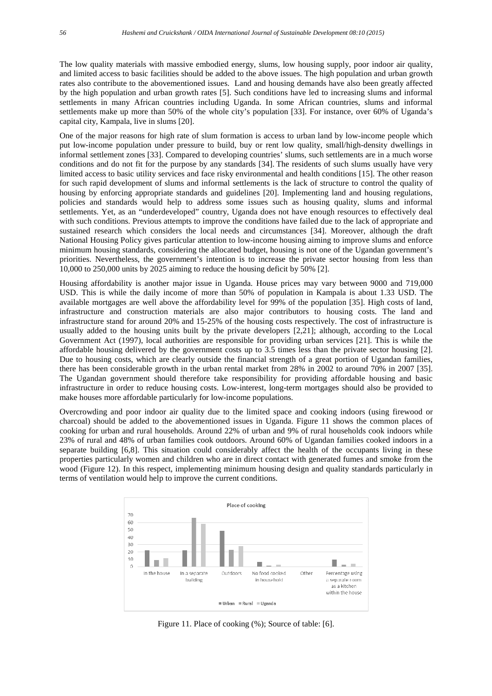The low quality materials with massive embodied energy, slums, low housing supply, poor indoor air quality, and limited access to basic facilities should be added to the above issues. The high population and urban growth rates also contribute to the abovementioned issues. Land and housing demands have also been greatly affected by the high population and urban growth rates [5]. Such conditions have led to increasing slums and informal settlements in many African countries including Uganda. In some African countries, slums and informal settlements make up more than 50% of the whole city's population [33]. For instance, over 60% of Uganda's capital city, Kampala, live in slums [20].

One of the major reasons for high rate of slum formation is access to urban land by low-income people which put low-income population under pressure to build, buy or rent low quality, small/high-density dwellings in informal settlement zones [33]. Compared to developing countries' slums, such settlements are in a much worse conditions and do not fit for the purpose by any standards [34]. The residents of such slums usually have very limited access to basic utility services and face risky environmental and health conditions [15]. The other reason for such rapid development of slums and informal settlements is the lack of structure to control the quality of housing by enforcing appropriate standards and guidelines [20]. Implementing land and housing regulations, policies and standards would help to address some issues such as housing quality, slums and informal settlements. Yet, as an "underdeveloped" country, Uganda does not have enough resources to effectively deal with such conditions. Previous attempts to improve the conditions have failed due to the lack of appropriate and sustained research which considers the local needs and circumstances [34]. Moreover, although the draft National Housing Policy gives particular attention to low-income housing aiming to improve slums and enforce minimum housing standards, considering the allocated budget, housing is not one of the Ugandan government's priorities. Nevertheless, the government's intention is to increase the private sector housing from less than 10,000 to 250,000 units by 2025 aiming to reduce the housing deficit by 50% [2].

Housing affordability is another major issue in Uganda. House prices may vary between 9000 and 719,000 USD. This is while the daily income of more than 50% of population in Kampala is about 1.33 USD. The available mortgages are well above the affordability level for 99% of the population [35]. High costs of land, infrastructure and construction materials are also major contributors to housing costs. The land and infrastructure stand for around 20% and 15-25% of the housing costs respectively. The cost of infrastructure is usually added to the housing units built by the private developers [2,21]; although, according to the Local Government Act (1997), local authorities are responsible for providing urban services [21]. This is while the affordable housing delivered by the government costs up to 3.5 times less than the private sector housing [2]. Due to housing costs, which are clearly outside the financial strength of a great portion of Ugandan families, there has been considerable growth in the urban rental market from 28% in 2002 to around 70% in 2007 [35]. The Ugandan government should therefore take responsibility for providing affordable housing and basic infrastructure in order to reduce housing costs. Low-interest, long-term mortgages should also be provided to make houses more affordable particularly for low-income populations.

Overcrowding and poor indoor air quality due to the limited space and cooking indoors (using firewood or charcoal) should be added to the abovementioned issues in Uganda. Figure 11 shows the common places of cooking for urban and rural households. Around 22% of urban and 9% of rural households cook indoors while 23% of rural and 48% of urban families cook outdoors. Around 60% of Ugandan families cooked indoors in a separate building [6,8]. This situation could considerably affect the health of the occupants living in these properties particularly women and children who are in direct contact with generated fumes and smoke from the wood (Figure 12). In this respect, implementing minimum housing design and quality standards particularly in terms of ventilation would help to improve the current conditions.



Figure 11. Place of cooking (%); Source of table: [6].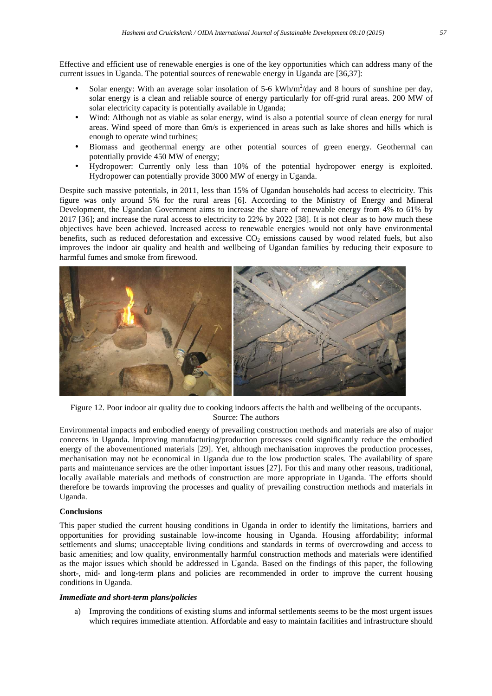Effective and efficient use of renewable energies is one of the key opportunities which can address many of the current issues in Uganda. The potential sources of renewable energy in Uganda are [36,37]:

- Solar energy: With an average solar insolation of 5-6  $kWh/m^2$ /day and 8 hours of sunshine per day, solar energy is a clean and reliable source of energy particularly for off-grid rural areas. 200 MW of solar electricity capacity is potentially available in Uganda;
- Wind: Although not as viable as solar energy, wind is also a potential source of clean energy for rural areas. Wind speed of more than 6m/s is experienced in areas such as lake shores and hills which is enough to operate wind turbines;
- Biomass and geothermal energy are other potential sources of green energy. Geothermal can potentially provide 450 MW of energy;
- Hydropower: Currently only less than 10% of the potential hydropower energy is exploited. Hydropower can potentially provide 3000 MW of energy in Uganda.

Despite such massive potentials, in 2011, less than 15% of Ugandan households had access to electricity. This figure was only around 5% for the rural areas [6]. According to the Ministry of Energy and Mineral Development, the Ugandan Government aims to increase the share of renewable energy from 4% to 61% by 2017 [36]; and increase the rural access to electricity to 22% by 2022 [38]. It is not clear as to how much these objectives have been achieved. Increased access to renewable energies would not only have environmental benefits, such as reduced deforestation and excessive  $CO<sub>2</sub>$  emissions caused by wood related fuels, but also improves the indoor air quality and health and wellbeing of Ugandan families by reducing their exposure to harmful fumes and smoke from firewood.



Figure 12. Poor indoor air quality due to cooking indoors affects the halth and wellbeing of the occupants. Source: The authors

Environmental impacts and embodied energy of prevailing construction methods and materials are also of major concerns in Uganda. Improving manufacturing/production processes could significantly reduce the embodied energy of the abovementioned materials [29]. Yet, although mechanisation improves the production processes, mechanisation may not be economical in Uganda due to the low production scales. The availability of spare parts and maintenance services are the other important issues [27]. For this and many other reasons, traditional, locally available materials and methods of construction are more appropriate in Uganda. The efforts should therefore be towards improving the processes and quality of prevailing construction methods and materials in Uganda.

# **Conclusions**

This paper studied the current housing conditions in Uganda in order to identify the limitations, barriers and opportunities for providing sustainable low-income housing in Uganda. Housing affordability; informal settlements and slums; unacceptable living conditions and standards in terms of overcrowding and access to basic amenities; and low quality, environmentally harmful construction methods and materials were identified as the major issues which should be addressed in Uganda. Based on the findings of this paper, the following short-, mid- and long-term plans and policies are recommended in order to improve the current housing conditions in Uganda.

# *Immediate and short-term plans/policies*

a) Improving the conditions of existing slums and informal settlements seems to be the most urgent issues which requires immediate attention. Affordable and easy to maintain facilities and infrastructure should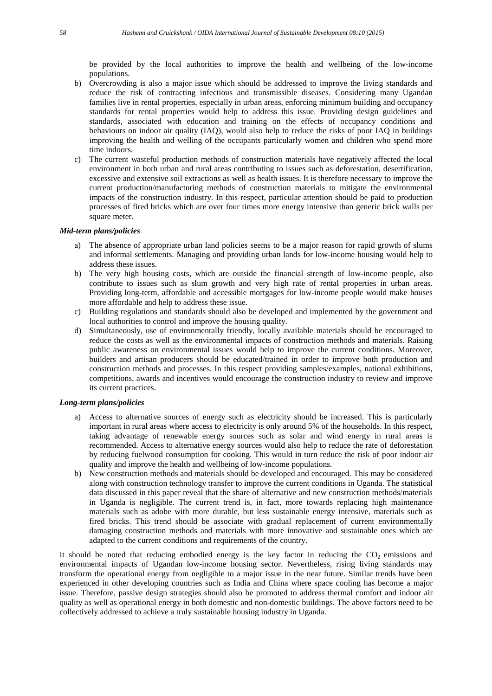be provided by the local authorities to improve the health and wellbeing of the low-income populations.

- b) Overcrowding is also a major issue which should be addressed to improve the living standards and reduce the risk of contracting infectious and transmissible diseases. Considering many Ugandan families live in rental properties, especially in urban areas, enforcing minimum building and occupancy standards for rental properties would help to address this issue. Providing design guidelines and standards, associated with education and training on the effects of occupancy conditions and behaviours on indoor air quality (IAQ), would also help to reduce the risks of poor IAQ in buildings improving the health and welling of the occupants particularly women and children who spend more time indoors.
- c) The current wasteful production methods of construction materials have negatively affected the local environment in both urban and rural areas contributing to issues such as deforestation, desertification, excessive and extensive soil extractions as well as health issues. It is therefore necessary to improve the current production/manufacturing methods of construction materials to mitigate the environmental impacts of the construction industry. In this respect, particular attention should be paid to production processes of fired bricks which are over four times more energy intensive than generic brick walls per square meter.

## *Mid-term plans/policies*

- a) The absence of appropriate urban land policies seems to be a major reason for rapid growth of slums and informal settlements. Managing and providing urban lands for low-income housing would help to address these issues.
- b) The very high housing costs, which are outside the financial strength of low-income people, also contribute to issues such as slum growth and very high rate of rental properties in urban areas. Providing long-term, affordable and accessible mortgages for low-income people would make houses more affordable and help to address these issue.
- c) Building regulations and standards should also be developed and implemented by the government and local authorities to control and improve the housing quality.
- d) Simultaneously, use of environmentally friendly, locally available materials should be encouraged to reduce the costs as well as the environmental impacts of construction methods and materials. Raising public awareness on environmental issues would help to improve the current conditions. Moreover, builders and artisan producers should be educated/trained in order to improve both production and construction methods and processes. In this respect providing samples/examples, national exhibitions, competitions, awards and incentives would encourage the construction industry to review and improve its current practices.

#### *Long-term plans/policies*

- a) Access to alternative sources of energy such as electricity should be increased. This is particularly important in rural areas where access to electricity is only around 5% of the households. In this respect, taking advantage of renewable energy sources such as solar and wind energy in rural areas is recommended. Access to alternative energy sources would also help to reduce the rate of deforestation by reducing fuelwood consumption for cooking. This would in turn reduce the risk of poor indoor air quality and improve the health and wellbeing of low-income populations.
- b) New construction methods and materials should be developed and encouraged. This may be considered along with construction technology transfer to improve the current conditions in Uganda. The statistical data discussed in this paper reveal that the share of alternative and new construction methods/materials in Uganda is negligible. The current trend is, in fact, more towards replacing high maintenance materials such as adobe with more durable, but less sustainable energy intensive, materials such as fired bricks. This trend should be associate with gradual replacement of current environmentally damaging construction methods and materials with more innovative and sustainable ones which are adapted to the current conditions and requirements of the country.

It should be noted that reducing embodied energy is the key factor in reducing the  $CO<sub>2</sub>$  emissions and environmental impacts of Ugandan low-income housing sector. Nevertheless, rising living standards may transform the operational energy from negligible to a major issue in the near future. Similar trends have been experienced in other developing countries such as India and China where space cooling has become a major issue. Therefore, passive design strategies should also be promoted to address thermal comfort and indoor air quality as well as operational energy in both domestic and non-domestic buildings. The above factors need to be collectively addressed to achieve a truly sustainable housing industry in Uganda.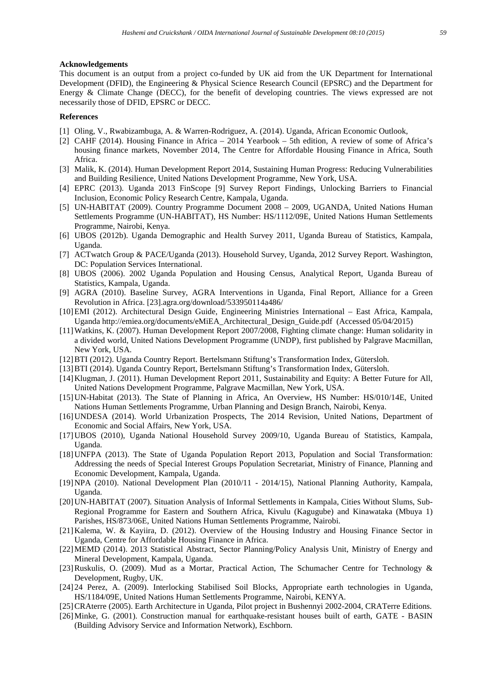#### **Acknowledgements**

This document is an output from a project co-funded by UK aid from the UK Department for International Development (DFID), the Engineering & Physical Science Research Council (EPSRC) and the Department for Energy & Climate Change (DECC), for the benefit of developing countries. The views expressed are not necessarily those of DFID, EPSRC or DECC.

#### **References**

- [1] Oling, V., Rwabizambuga, A. & Warren-Rodriguez, A. (2014). Uganda, African Economic Outlook,
- [2] CAHF (2014). Housing Finance in Africa 2014 Yearbook 5th edition, A review of some of Africa's housing finance markets, November 2014, The Centre for Affordable Housing Finance in Africa, South Africa.
- [3] Malik, K. (2014). Human Development Report 2014, Sustaining Human Progress: Reducing Vulnerabilities and Building Resilience, United Nations Development Programme, New York, USA.
- [4] EPRC (2013). Uganda 2013 FinScope [9] Survey Report Findings, Unlocking Barriers to Financial Inclusion, Economic Policy Research Centre, Kampala, Uganda.
- [5] UN-HABITAT (2009). Country Programme Document 2008 2009, UGANDA, United Nations Human Settlements Programme (UN-HABITAT), HS Number: HS/1112/09E, United Nations Human Settlements Programme, Nairobi, Kenya.
- [6] UBOS (2012b). Uganda Demographic and Health Survey 2011, Uganda Bureau of Statistics, Kampala, Uganda.
- [7] ACTwatch Group & PACE/Uganda (2013). Household Survey, Uganda, 2012 Survey Report. Washington, DC: Population Services International.
- [8] UBOS (2006). 2002 Uganda Population and Housing Census, Analytical Report, Uganda Bureau of Statistics, Kampala, Uganda.
- [9] AGRA (2010). Baseline Survey, AGRA Interventions in Uganda, Final Report, Alliance for a Green Revolution in Africa. [23].agra.org/download/533950114a486/
- [10]EMI (2012). Architectural Design Guide, Engineering Ministries International East Africa, Kampala, Uganda http://emiea.org/documents/eMiEA\_Architectural\_Design\_Guide.pdf (Accessed 05/04/2015)
- [11]Watkins, K. (2007). Human Development Report 2007/2008, Fighting climate change: Human solidarity in a divided world, United Nations Development Programme (UNDP), first published by Palgrave Macmillan, New York, USA.
- [12]BTI (2012). Uganda Country Report. Bertelsmann Stiftung's Transformation Index, Gütersloh.
- [13]BTI (2014). Uganda Country Report, Bertelsmann Stiftung's Transformation Index, Gütersloh.
- [14]Klugman, J. (2011). Human Development Report 2011, Sustainability and Equity: A Better Future for All, United Nations Development Programme, Palgrave Macmillan, New York, USA.
- [15]UN-Habitat (2013). The State of Planning in Africa, An Overview, HS Number: HS/010/14E, United Nations Human Settlements Programme, Urban Planning and Design Branch, Nairobi, Kenya.
- [16]UNDESA (2014). World Urbanization Prospects, The 2014 Revision, United Nations, Department of Economic and Social Affairs, New York, USA.
- [17]UBOS (2010), Uganda National Household Survey 2009/10, Uganda Bureau of Statistics, Kampala, Uganda.
- [18]UNFPA (2013). The State of Uganda Population Report 2013, Population and Social Transformation: Addressing the needs of Special Interest Groups Population Secretariat, Ministry of Finance, Planning and Economic Development, Kampala, Uganda.
- [19]NPA (2010). National Development Plan (2010/11 2014/15), National Planning Authority, Kampala, Uganda.
- [20]UN-HABITAT (2007). Situation Analysis of Informal Settlements in Kampala, Cities Without Slums, Sub-Regional Programme for Eastern and Southern Africa, Kivulu (Kagugube) and Kinawataka (Mbuya 1) Parishes, HS/873/06E, United Nations Human Settlements Programme, Nairobi.
- [21]Kalema, W. & Kayiira, D. (2012). Overview of the Housing Industry and Housing Finance Sector in Uganda, Centre for Affordable Housing Finance in Africa.
- [22]MEMD (2014). 2013 Statistical Abstract, Sector Planning/Policy Analysis Unit, Ministry of Energy and Mineral Development, Kampala, Uganda.
- [23]Ruskulis, O. (2009). Mud as a Mortar, Practical Action, The Schumacher Centre for Technology & Development, Rugby, UK.
- [24] 24 Perez, A. (2009). Interlocking Stabilised Soil Blocks, Appropriate earth technologies in Uganda, HS/1184/09E, United Nations Human Settlements Programme, Nairobi, KENYA.
- [25] CRAterre (2005). Earth Architecture in Uganda, Pilot project in Bushennyi 2002-2004, CRATerre Editions.
- [26]Minke, G. (2001). Construction manual for earthquake-resistant houses built of earth, GATE BASIN (Building Advisory Service and Information Network), Eschborn.